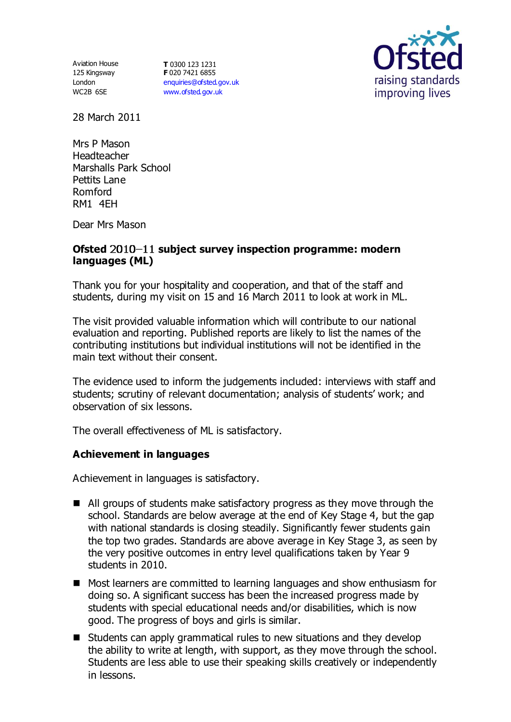Aviation House 125 Kingsway London WC2B 6SE

**T** 0300 123 1231 **F** 020 7421 6855 [enquiries@ofsted.gov.uk](mailto:enquiries@ofsted.gov.uk) [www.ofsted.gov.uk](http://www.ofsted.gov.uk/)



28 March 2011

Mrs P Mason Headteacher Marshalls Park School Pettits Lane Romford RM1 4EH

Dear Mrs Mason

#### Ofsted 2010-11 subject survey inspection programme: modern **languages (ML)**

Thank you for your hospitality and cooperation, and that of the staff and students, during my visit on 15 and 16 March 2011 to look at work in ML.

The visit provided valuable information which will contribute to our national evaluation and reporting. Published reports are likely to list the names of the contributing institutions but individual institutions will not be identified in the main text without their consent.

The evidence used to inform the judgements included: interviews with staff and students; scrutiny of relevant documentation; analysis of students' work; and observation of six lessons.

The overall effectiveness of ML is satisfactory.

### **Achievement in languages**

Achievement in languages is satisfactory.

- All groups of students make satisfactory progress as they move through the school. Standards are below average at the end of Key Stage 4, but the gap with national standards is closing steadily. Significantly fewer students gain the top two grades. Standards are above average in Key Stage 3, as seen by the very positive outcomes in entry level qualifications taken by Year 9 students in 2010.
- Most learners are committed to learning languages and show enthusiasm for doing so. A significant success has been the increased progress made by students with special educational needs and/or disabilities, which is now good. The progress of boys and girls is similar.
- $\blacksquare$  Students can apply grammatical rules to new situations and they develop the ability to write at length, with support, as they move through the school. Students are less able to use their speaking skills creatively or independently in lessons.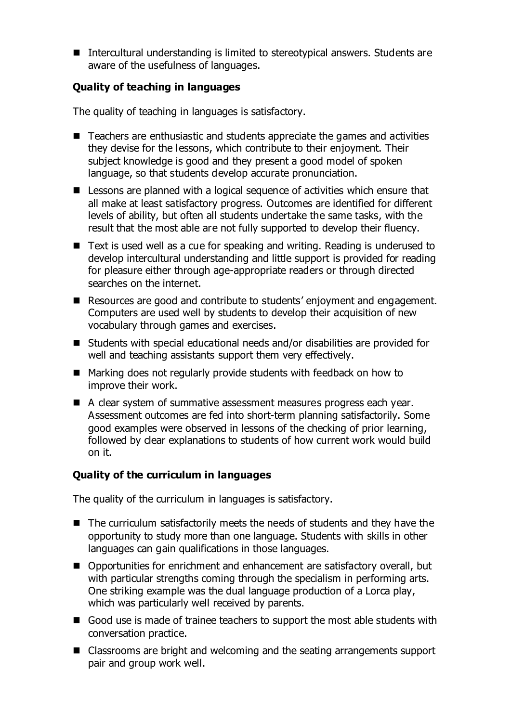Intercultural understanding is limited to stereotypical answers. Students are aware of the usefulness of languages.

# **Quality of teaching in languages**

The quality of teaching in languages is satisfactory.

- Teachers are enthusiastic and students appreciate the games and activities they devise for the lessons, which contribute to their enjoyment. Their subject knowledge is good and they present a good model of spoken language, so that students develop accurate pronunciation.
- Lessons are planned with a logical sequence of activities which ensure that all make at least satisfactory progress. Outcomes are identified for different levels of ability, but often all students undertake the same tasks, with the result that the most able are not fully supported to develop their fluency.
- Text is used well as a cue for speaking and writing. Reading is underused to develop intercultural understanding and little support is provided for reading for pleasure either through age-appropriate readers or through directed searches on the internet.
- Resources are good and contribute to students' enjoyment and engagement. Computers are used well by students to develop their acquisition of new vocabulary through games and exercises.
- Students with special educational needs and/or disabilities are provided for well and teaching assistants support them very effectively.
- Marking does not regularly provide students with feedback on how to improve their work.
- A clear system of summative assessment measures progress each year. Assessment outcomes are fed into short-term planning satisfactorily. Some good examples were observed in lessons of the checking of prior learning, followed by clear explanations to students of how current work would build on it.

# **Quality of the curriculum in languages**

The quality of the curriculum in languages is satisfactory.

- The curriculum satisfactorily meets the needs of students and they have the opportunity to study more than one language. Students with skills in other languages can gain qualifications in those languages.
- Opportunities for enrichment and enhancement are satisfactory overall, but with particular strengths coming through the specialism in performing arts. One striking example was the dual language production of a Lorca play, which was particularly well received by parents.
- Good use is made of trainee teachers to support the most able students with conversation practice.
- Classrooms are bright and welcoming and the seating arrangements support pair and group work well.